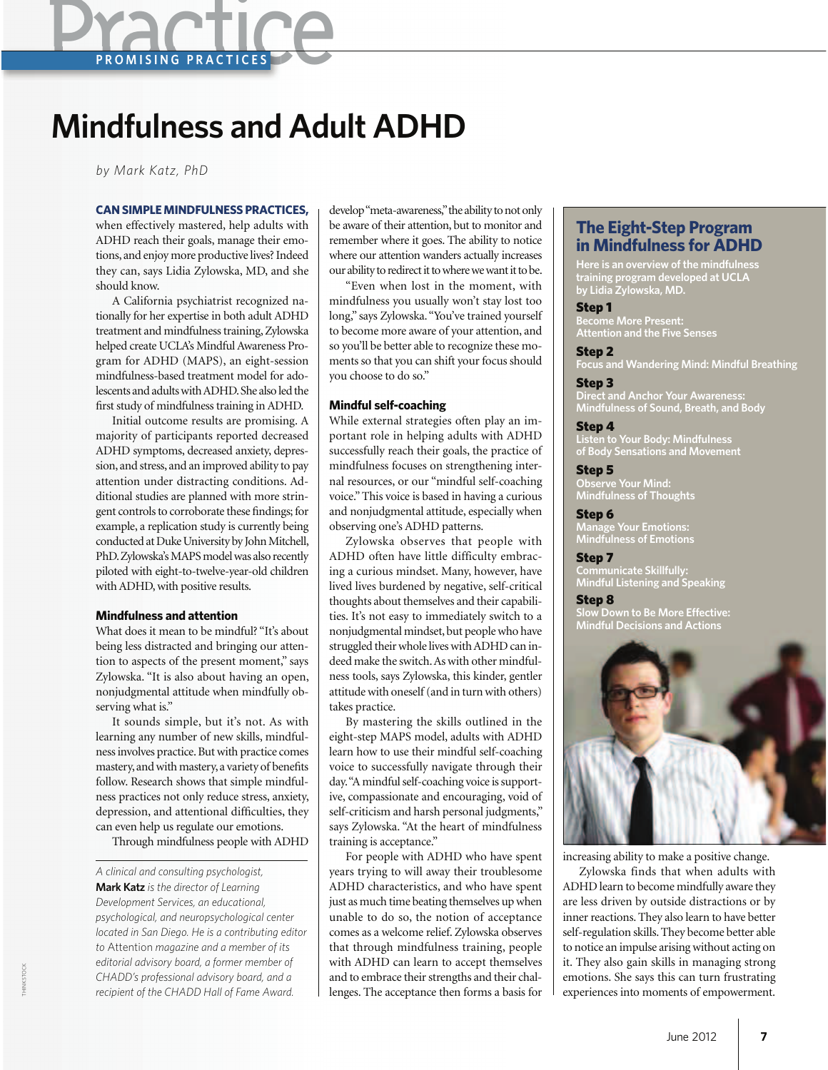# **Practice**

## **Mindfulness and Adult ADHD**

*by Mark Katz, PhD*

#### **CAN SIMPLE MINDFULNESS PRACTICES,**

when effectively mastered, help adults with ADHD reach their goals, manage their emotions, and enjoy more productive lives? Indeed they can, says Lidia Zylowska, MD, and she should know.

A California psychiatrist recognized nationally for her expertise in both adult ADHD treatment and mindfulness training, Zylowska helped create UCLA's Mindful Awareness Program for ADHD (MAPS), an eight-session mindfulness-based treatment model for adolescents and adults with ADHD. She also led the first study of mindfulness training in ADHD.

Initial outcome results are promising. A majority of participants reported decreased ADHD symptoms, decreased anxiety, depression, and stress, and an improved ability to pay attention under distracting conditions. Additional studies are planned with more stringent controls to corroborate these findings; for example, a replication study is currently being conducted at Duke University by John Mitchell, PhD. Zylowska's MAPS model was also recently piloted with eight-to-twelve-year-old children with ADHD, with positive results.

#### **Mindfulness and attention**

What does it mean to be mindful? "It's about being less distracted and bringing our attention to aspects of the present moment," says Zylowska. "It is also about having an open, nonjudgmental attitude when mindfully observing what is."

It sounds simple, but it's not. As with learning any number of new skills, mindfulness involves practice. But with practice comes mastery, and with mastery, a variety of benefits follow. Research shows that simple mindfulness practices not only reduce stress, anxiety, depression, and attentional difficulties, they can even help us regulate our emotions.

Through mindfulness people with ADHD

develop "meta-awareness," the ability to not only be aware of their attention, but to monitor and remember where it goes. The ability to notice where our attention wanders actually increases our ability to redirect it to where we want it to be.

"Even when lost in the moment, with mindfulness you usually won't stay lost too long," says Zylowska. "You've trained yourself to become more aware of your attention, and so you'll be better able to recognize these moments so that you can shift your focus should you choose to do so."

#### **Mindful self-coaching**

While external strategies often play an important role in helping adults with ADHD successfully reach their goals, the practice of mindfulness focuses on strengthening internal resources, or our "mindful self-coaching voice." This voice is based in having a curious and nonjudgmental attitude, especially when observing one's ADHD patterns.

Zylowska observes that people with ADHD often have little difficulty embracing a curious mindset. Many, however, have lived lives burdened by negative, self-critical thoughts about themselves and their capabilities. It's not easy to immediately switch to a nonjudgmental mindset, but people who have struggled their whole lives with ADHD can indeed make the switch. As with other mindfulness tools, says Zylowska, this kinder, gentler attitude with oneself (and in turn with others) takes practice.

By mastering the skills outlined in the eight-step MAPS model, adults with ADHD learn how to use their mindful self-coaching voice to successfully navigate through their day. "A mindful self-coaching voice is supportive, compassionate and encouraging, void of self-criticism and harsh personal judgments," says Zylowska. "At the heart of mindfulness training is acceptance."

For people with ADHD who have spent years trying to will away their troublesome ADHD characteristics, and who have spent just as much time beating themselves up when unable to do so, the notion of acceptance comes as a welcome relief. Zylowska observes that through mindfulness training, people with ADHD can learn to accept themselves and to embrace their strengths and their challenges. The acceptance then forms a basis for

### **The Eight-Step Program in Mindfulness for ADHD**

**Here is an overview of the mindfulness training program developed at UCLA by Lidia Zylowska, MD.**

#### Step 1

**Become More Present: Attention and the Five Senses**

Step 2

**Focus and Wandering Mind: Mindful Breathing**

Step 3 **Direct and Anchor Your Awareness: Mindfulness of Sound, Breath, and Body**

#### Step 4

**Listen to Your Body: Mindfulness of Body Sensations and Movement**

Step 5 **Observe Your Mind: Mindfulness of Thoughts**

Step 6 **Manage Your Emotions: Mindfulness of Emotions**

Step 7 **Communicate Skillfully: Mindful Listening and Speaking**

#### Step 8

**Slow Down to Be More Effective: Mindful Decisions and Actions**



increasing ability to make a positive change.

Zylowska finds that when adults with ADHD learn to become mindfully aware they are less driven by outside distractions or by inner reactions. They also learn to have better self-regulation skills. They become better able to notice an impulse arising without acting on it. They also gain skills in managing strong emotions. She says this can turn frustrating experiences into moments of empowerment.

*A clinical and consulting psychologist,*  **Mark Katz** *is the director of Learning Development Services, an educational, psychological, and neuropsychological center located in San Diego. He is a contributing editor to* Attention *magazine and a member of its editorial advisory board, a former member of CHADD's professional advisory board, and a recipient of the CHADD Hall of Fame Award.*